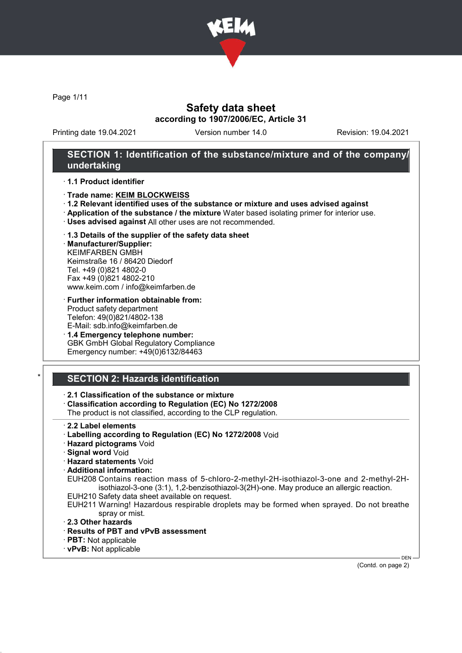

Page 1/11

### Safety data sheet according to 1907/2006/EC, Article 31

Printing date 19.04.2021 Version number 14.0 Revision: 19.04.2021

### SECTION 1: Identification of the substance/mixture and of the company/ undertaking

#### · 1.1 Product identifier

#### · Trade name: KEIM BLOCKWEISS

- · 1.2 Relevant identified uses of the substance or mixture and uses advised against
- · Application of the substance / the mixture Water based isolating primer for interior use.
- · Uses advised against All other uses are not recommended.

#### · 1.3 Details of the supplier of the safety data sheet

· Manufacturer/Supplier: KEIMFARBEN GMBH Keimstraße 16 / 86420 Diedorf Tel. +49 (0)821 4802-0 Fax +49 (0)821 4802-210 www.keim.com / info@keimfarben.de

- · Further information obtainable from: Product safety department Telefon: 49(0)821/4802-138 E-Mail: sdb.info@keimfarben.de
- · 1.4 Emergency telephone number: GBK GmbH Global Regulatory Compliance Emergency number: +49(0)6132/84463

### **SECTION 2: Hazards identification**

### · 2.1 Classification of the substance or mixture

· Classification according to Regulation (EC) No 1272/2008

The product is not classified, according to the CLP regulation.

- · 2.2 Label elements
- · Labelling according to Regulation (EC) No 1272/2008 Void
- · Hazard pictograms Void
- · Signal word Void
- · Hazard statements Void
- · Additional information:
- EUH208 Contains reaction mass of 5-chloro-2-methyl-2H-isothiazol-3-one and 2-methyl-2Hisothiazol-3-one (3:1), 1,2-benzisothiazol-3(2H)-one. May produce an allergic reaction.
- EUH210 Safety data sheet available on request.
- EUH211 Warning! Hazardous respirable droplets may be formed when sprayed. Do not breathe spray or mist.
- · 2.3 Other hazards
- · Results of PBT and vPvB assessment
- · PBT: Not applicable
- · vPvB: Not applicable

(Contd. on page 2)

DEN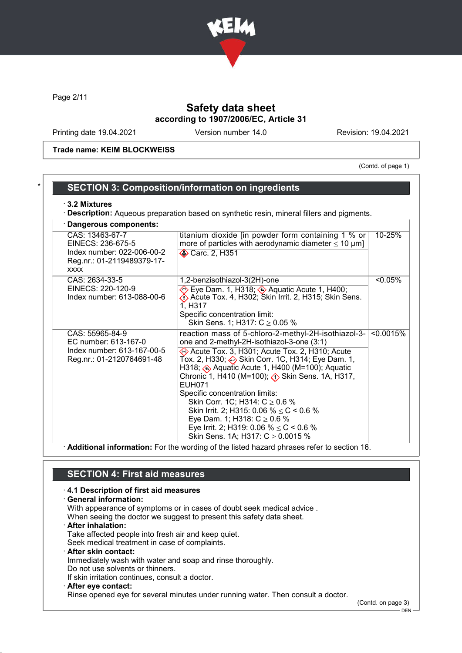

Page 2/11

### Safety data sheet according to 1907/2006/EC, Article 31

Printing date 19.04.2021 Version number 14.0 Revision: 19.04.2021

Trade name: KEIM BLOCKWEISS

(Contd. of page 1)

### SECTION 3: Composition/information on ingredients

#### · 3.2 Mixtures

· Description: Aqueous preparation based on synthetic resin, mineral fillers and pigments.

| Dangerous components:                                                                                           |                                                                                                                                                                                                                                                                                                                                                                                                                                                                                                                                                                                              |            |
|-----------------------------------------------------------------------------------------------------------------|----------------------------------------------------------------------------------------------------------------------------------------------------------------------------------------------------------------------------------------------------------------------------------------------------------------------------------------------------------------------------------------------------------------------------------------------------------------------------------------------------------------------------------------------------------------------------------------------|------------|
| CAS: 13463-67-7<br>EINECS: 236-675-5<br>Index number: 022-006-00-2<br>Reg.nr.: 01-2119489379-17-<br><b>XXXX</b> | titanium dioxide [in powder form containing 1 % or<br>more of particles with aerodynamic diameter $\leq 10 \ \mu m$ ]<br><b>♦ Carc. 2, H351</b>                                                                                                                                                                                                                                                                                                                                                                                                                                              | 10-25%     |
| CAS: 2634-33-5<br>EINECS: 220-120-9<br>Index number: 613-088-00-6                                               | 1,2-benzisothiazol-3(2H)-one<br>Eye Dam. 1, H318; ♦ Aquatic Acute 1, H400;<br>Acute Tox. 4, H302; Skin Irrit. 2, H315; Skin Sens.<br>1, H317<br>Specific concentration limit:<br>Skin Sens. 1; H317: $C \ge 0.05$ %                                                                                                                                                                                                                                                                                                                                                                          | $< 0.05\%$ |
| CAS: 55965-84-9<br>EC number: 613-167-0<br>Index number: 613-167-00-5<br>Reg.nr.: 01-2120764691-48              | reaction mass of 5-chloro-2-methyl-2H-isothiazol-3-<br>one and 2-methyl-2H-isothiazol-3-one (3:1)<br>Acute Tox. 3, H301; Acute Tox. 2, H310; Acute<br>Tox. 2, H330; Skin Corr. 1C, H314; Eye Dam. 1,<br>H318; ۞ Aquatic Acute 1, H400 (M=100); Aquatic<br>Chronic 1, H410 (M=100); $\langle \cdot \rangle$ Skin Sens. 1A, H317,<br>EUH071<br>Specific concentration limits:<br>Skin Corr. 1C; H314: $C \ge 0.6$ %<br>Skin Irrit. 2; H315: 0.06 % $\leq$ C < 0.6 %<br>Eye Dam. 1; H318: $C \ge 0.6$ %<br>Eye Irrit. 2; H319: 0.06 % $\leq$ C < 0.6 %<br>Skin Sens. 1A; H317: $C \ge 0.0015$ % | < 0.0015%  |

· Additional information: For the wording of the listed hazard phrases refer to section 16.

### SECTION 4: First aid measures

## · 4.1 Description of first aid measures

| · General information:                                                           |  |
|----------------------------------------------------------------------------------|--|
| With appearance of symptoms or in cases of doubt seek medical advice.            |  |
| When seeing the doctor we suggest to present this safety data sheet.             |  |
| <b>After inhalation:</b>                                                         |  |
| Take affected people into fresh air and keep quiet.                              |  |
| Seek medical treatment in case of complaints.                                    |  |
| $\cdot$ After skin contact:                                                      |  |
| Immediately wash with water and soap and rinse thoroughly.                       |  |
| Do not use solvents or thinners.                                                 |  |
| If skin irritation continues, consult a doctor.                                  |  |
| · After eye contact:                                                             |  |
| Rinse opened eye for several minutes under running water. Then consult a doctor. |  |

(Contd. on page 3)

 $-$  DEN -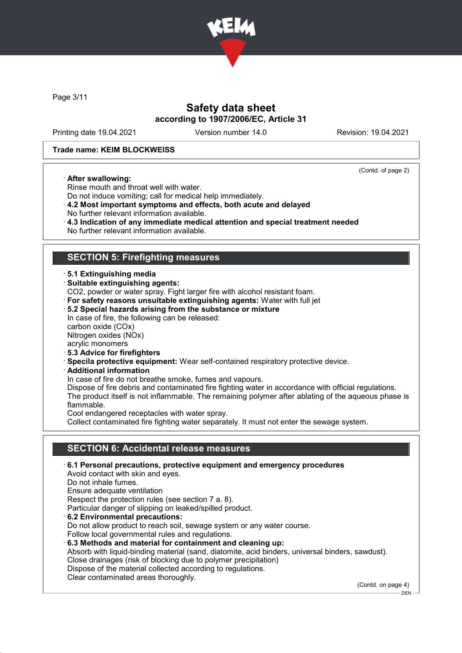

Page 3/11

### Safety data sheet according to 1907/2006/EC, Article 31

Printing date 19.04.2021 Version number 14.0 Revision: 19.04.2021

(Contd. of page 2)

#### Trade name: KEIM BLOCKWEISS

#### · After swallowing:

Rinse mouth and throat well with water. Do not induce vomiting; call for medical help immediately.

- · 4.2 Most important symptoms and effects, both acute and delayed
- No further relevant information available.
- · 4.3 Indication of any immediate medical attention and special treatment needed
- No further relevant information available.

### SECTION 5: Firefighting measures

- · 5.1 Extinguishing media
- · Suitable extinguishing agents:

CO2, powder or water spray. Fight larger fire with alcohol resistant foam.

· For safety reasons unsuitable extinguishing agents: Water with full jet

#### · 5.2 Special hazards arising from the substance or mixture

In case of fire, the following can be released: carbon oxide (COx) Nitrogen oxides (NOx) acrylic monomers

- · 5.3 Advice for firefighters
- · Specila protective equipment: Wear self-contained respiratory protective device.
- · Additional information

In case of fire do not breathe smoke, fumes and vapours.

Dispose of fire debris and contaminated fire fighting water in accordance with official regulations. The product itself is not inflammable. The remaining polymer after ablating of the aqueous phase is flammable.

Cool endangered receptacles with water spray.

Collect contaminated fire fighting water separately. It must not enter the sewage system.

#### SECTION 6: Accidental release measures

· 6.1 Personal precautions, protective equipment and emergency procedures Avoid contact with skin and eyes. Do not inhale fumes. Ensure adequate ventilation Respect the protection rules (see section 7 a. 8). Particular danger of slipping on leaked/spilled product. · 6.2 Environmental precautions: Do not allow product to reach soil, sewage system or any water course. Follow local governmental rules and regulations. · 6.3 Methods and material for containment and cleaning up: Absorb with liquid-binding material (sand, diatomite, acid binders, universal binders, sawdust). Close drainages (risk of blocking due to polymer precipitation) Dispose of the material collected according to regulations. Clear contaminated areas thoroughly.

(Contd. on page 4)

DEN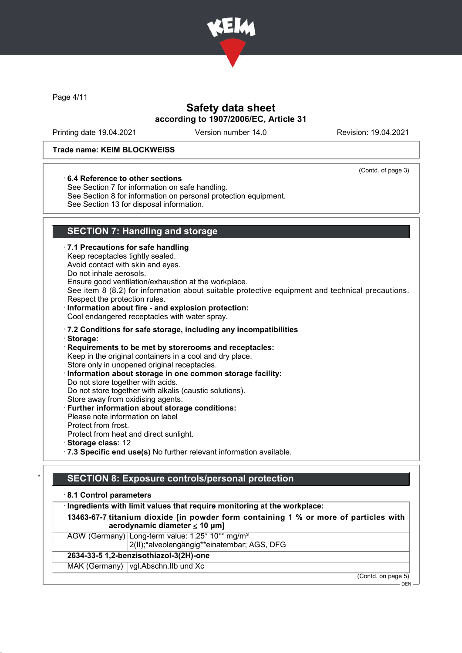

Page 4/11

### Safety data sheet according to 1907/2006/EC, Article 31

Printing date 19.04.2021 Version number 14.0 Revision: 19.04.2021

(Contd. of page 3)

#### Trade name: KEIM BLOCKWEISS

#### · 6.4 Reference to other sections

See Section 7 for information on safe handling. See Section 8 for information on personal protection equipment. See Section 13 for disposal information.

### SECTION 7: Handling and storage

#### · 7.1 Precautions for safe handling Keep receptacles tightly sealed. Avoid contact with skin and eyes. Do not inhale aerosols. Ensure good ventilation/exhaustion at the workplace. See item 8 (8.2) for information about suitable protective equipment and technical precautions. Respect the protection rules. · Information about fire - and explosion protection: Cool endangered receptacles with water spray. · 7.2 Conditions for safe storage, including any incompatibilities · Storage: · Requirements to be met by storerooms and receptacles: Keep in the original containers in a cool and dry place. Store only in unopened original receptacles. Information about storage in one common storage facility: Do not store together with acids. Do not store together with alkalis (caustic solutions). Store away from oxidising agents. · Further information about storage conditions: Please note information on label Protect from frost. Protect from heat and direct sunlight. · Storage class: 12

· 7.3 Specific end use(s) No further relevant information available.

### SECTION 8: Exposure controls/personal protection

#### · 8.1 Control parameters

|                                        | · Ingredients with limit values that require monitoring at the workplace:                                                  |  |
|----------------------------------------|----------------------------------------------------------------------------------------------------------------------------|--|
|                                        | 13463-67-7 titanium dioxide [in powder form containing 1 % or more of particles with<br>aerodynamic diameter $\leq 10$ µm] |  |
|                                        | AGW (Germany) Long-term value: 1.25* 10** mg/m <sup>3</sup><br>2(II);*alveolengängig**einatembar; AGS, DFG                 |  |
| 2634-33-5 1,2-benzisothiazol-3(2H)-one |                                                                                                                            |  |
|                                        | MAK (Germany)   vgl. Abschn. IIb und Xc                                                                                    |  |

(Contd. on page 5)

 $-$  DEN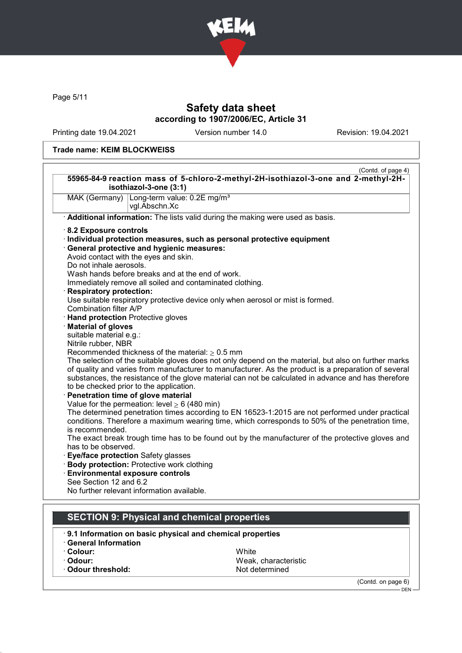

Page 5/11

### Safety data sheet according to 1907/2006/EC, Article 31

Printing date 19.04.2021 Version number 14.0 Revision: 19.04.2021

#### Trade name: KEIM BLOCKWEISS

|                                        | 55965-84-9 reaction mass of 5-chloro-2-methyl-2H-isothiazol-3-one and 2-methyl-2H-<br>isothiazol-3-one (3:1) |
|----------------------------------------|--------------------------------------------------------------------------------------------------------------|
|                                        | MAK (Germany) Long-term value: 0.2E mg/m <sup>3</sup>                                                        |
|                                        | vgl.Abschn.Xc                                                                                                |
|                                        | Additional information: The lists valid during the making were used as basis.                                |
| 8.2 Exposure controls                  |                                                                                                              |
|                                        | · Individual protection measures, such as personal protective equipment                                      |
|                                        | · General protective and hygienic measures:                                                                  |
|                                        | Avoid contact with the eyes and skin.                                                                        |
| Do not inhale aerosols.                |                                                                                                              |
|                                        | Wash hands before breaks and at the end of work.                                                             |
|                                        | Immediately remove all soiled and contaminated clothing.                                                     |
| <b>Respiratory protection:</b>         |                                                                                                              |
|                                        | Use suitable respiratory protective device only when aerosol or mist is formed.                              |
| Combination filter A/P                 |                                                                                                              |
| · Hand protection Protective gloves    |                                                                                                              |
| <b>Material of gloves</b>              |                                                                                                              |
| suitable material e.g.:                |                                                                                                              |
| Nitrile rubber, NBR                    |                                                                                                              |
|                                        | Recommended thickness of the material: $\geq 0.5$ mm                                                         |
|                                        | The selection of the suitable gloves does not only depend on the material, but also on further marks         |
|                                        | of quality and varies from manufacturer to manufacturer. As the product is a preparation of several          |
|                                        | substances, the resistance of the glove material can not be calculated in advance and has therefore          |
|                                        | to be checked prior to the application.                                                                      |
| Penetration time of glove material     |                                                                                                              |
|                                        | Value for the permeation: level $\geq 6$ (480 min)                                                           |
|                                        | The determined penetration times according to EN 16523-1:2015 are not performed under practical              |
|                                        | conditions. Therefore a maximum wearing time, which corresponds to 50% of the penetration time,              |
| is recommended.                        |                                                                                                              |
|                                        | The exact break trough time has to be found out by the manufacturer of the protective gloves and             |
| has to be observed.                    |                                                                                                              |
| Eye/face protection Safety glasses     |                                                                                                              |
|                                        | Body protection: Protective work clothing                                                                    |
| <b>Environmental exposure controls</b> |                                                                                                              |
| See Section 12 and 6.2                 |                                                                                                              |
|                                        | No further relevant information available.                                                                   |
|                                        |                                                                                                              |
|                                        | <b>SECTION 9: Physical and chemical properties</b>                                                           |
|                                        |                                                                                                              |
|                                        | 9.1 Information on basic physical and chemical properties                                                    |

- 
- 
- $\cdot$  Odour threshold:

· Colour: White Weak, characteristic<br>Not determined

(Contd. on page 6)

 $-\overline{$  DEN -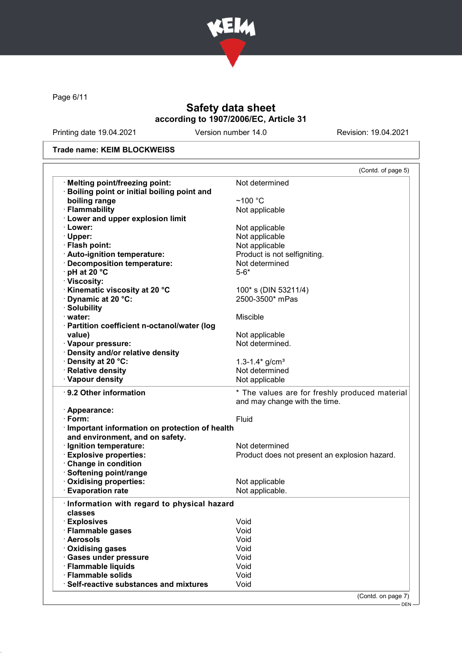

Page 6/11

### Safety data sheet according to 1907/2006/EC, Article 31

Printing date 19.04.2021 Version number 14.0 Revision: 19.04.2021

#### Trade name: KEIM BLOCKWEISS

|                                                               | (Contd. of page 5)                                                              |
|---------------------------------------------------------------|---------------------------------------------------------------------------------|
| · Melting point/freezing point:                               | Not determined                                                                  |
| Boiling point or initial boiling point and                    |                                                                                 |
| boiling range                                                 | $~100~{\rm ^{\circ}C}$                                                          |
| · Flammability                                                | Not applicable                                                                  |
| <b>Lower and upper explosion limit</b>                        |                                                                                 |
| · Lower:                                                      | Not applicable                                                                  |
| · Upper:                                                      | Not applicable                                                                  |
| · Flash point:                                                | Not applicable                                                                  |
| · Auto-ignition temperature:                                  | Product is not selfigniting.                                                    |
| · Decomposition temperature:                                  | Not determined                                                                  |
| $\cdot$ pH at 20 $\degree$ C                                  | $5 - 6*$                                                                        |
| · Viscosity:                                                  |                                                                                 |
|                                                               |                                                                                 |
| <b>'Kinematic viscosity at 20 °C</b>                          | 100* s (DIN 53211/4)                                                            |
| Dynamic at 20 °C:                                             | 2500-3500* mPas                                                                 |
| · Solubility                                                  |                                                                                 |
| $\cdot$ water:                                                | <b>Miscible</b>                                                                 |
| · Partition coefficient n-octanol/water (log                  |                                                                                 |
| value)                                                        | Not applicable                                                                  |
| · Vapour pressure:                                            | Not determined.                                                                 |
| · Density and/or relative density                             |                                                                                 |
| · Density at 20 °C:                                           | 1.3-1.4 $\frac{\text{g}}{\text{cm}^3}$                                          |
| · Relative density                                            | Not determined                                                                  |
| · Vapour density                                              | Not applicable                                                                  |
| · 9.2 Other information                                       | * The values are for freshly produced material<br>and may change with the time. |
| · Appearance:                                                 |                                                                                 |
| $\cdot$ Form:                                                 | Fluid                                                                           |
| · Important information on protection of health               |                                                                                 |
| and environment, and on safety.                               |                                                                                 |
| · Ignition temperature:                                       | Not determined                                                                  |
| <b>Explosive properties:</b>                                  |                                                                                 |
|                                                               | Product does not present an explosion hazard.                                   |
| Change in condition                                           |                                                                                 |
| · Softening point/range                                       |                                                                                 |
| · Oxidising properties:                                       | Not applicable                                                                  |
| <b>Evaporation rate</b>                                       | Not applicable.                                                                 |
| · Information with regard to physical hazard                  |                                                                                 |
| classes                                                       |                                                                                 |
| · Explosives                                                  | Void                                                                            |
| · Flammable gases                                             | Void                                                                            |
| · Aerosols                                                    | Void                                                                            |
| · Oxidising gases                                             | Void                                                                            |
| · Gases under pressure                                        | Void                                                                            |
|                                                               |                                                                                 |
|                                                               |                                                                                 |
| · Flammable liquids                                           | Void                                                                            |
| · Flammable solids<br>· Self-reactive substances and mixtures | Void<br>Void                                                                    |

DEN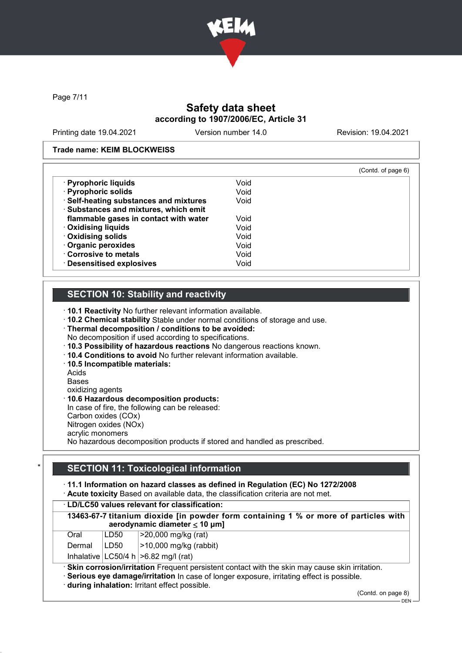

Page 7/11

### Safety data sheet according to 1907/2006/EC, Article 31

Printing date 19.04.2021 Version number 14.0 Revision: 19.04.2021

#### Trade name: KEIM BLOCKWEISS

|                                        |      | (Contd. of page 6) |
|----------------------------------------|------|--------------------|
| · Pyrophoric liquids                   | Void |                    |
| · Pyrophoric solids                    | Void |                    |
| · Self-heating substances and mixtures | Void |                    |
| · Substances and mixtures, which emit  |      |                    |
| flammable gases in contact with water  | Void |                    |
| · Oxidising liquids                    | Void |                    |
| · Oxidising solids                     | Void |                    |
| · Organic peroxides                    | Void |                    |
| Corrosive to metals                    | Void |                    |
| · Desensitised explosives              | Void |                    |

### SECTION 10: Stability and reactivity

· 10.1 Reactivity No further relevant information available.

- · 10.2 Chemical stability Stable under normal conditions of storage and use.
- · Thermal decomposition / conditions to be avoided: No decomposition if used according to specifications.
- · 10.3 Possibility of hazardous reactions No dangerous reactions known.
- · 10.4 Conditions to avoid No further relevant information available.
- · 10.5 Incompatible materials:
- Acids

Bases

oxidizing agents

· 10.6 Hazardous decomposition products:

In case of fire, the following can be released:

Carbon oxides (COx) Nitrogen oxides (NOx)

acrylic monomers

No hazardous decomposition products if stored and handled as prescribed.

### **SECTION 11: Toxicological information**

#### · 11.1 Information on hazard classes as defined in Regulation (EC) No 1272/2008

· Acute toxicity Based on available data, the classification criteria are not met.

| · LD/LC50 values relevant for classification:                                                                                                                                                                                                  |      |                                                                                                                            |
|------------------------------------------------------------------------------------------------------------------------------------------------------------------------------------------------------------------------------------------------|------|----------------------------------------------------------------------------------------------------------------------------|
|                                                                                                                                                                                                                                                |      | 13463-67-7 titanium dioxide [in powder form containing 1 % or more of particles with<br>aerodynamic diameter $\leq 10$ µm] |
| Oral                                                                                                                                                                                                                                           | LD50 | >20,000 mg/kg (rat)                                                                                                        |
| Dermal                                                                                                                                                                                                                                         | LD50 | $>10,000$ mg/kg (rabbit)                                                                                                   |
|                                                                                                                                                                                                                                                |      | Inhalative $ LC50/4 h  > 6.82 mg/l$ (rat)                                                                                  |
| · Skin corrosion/irritation Frequent persistent contact with the skin may cause skin irritation.<br>· Serious eye damage/irritation In case of longer exposure, irritating effect is possible.<br>during inhalation: Irritant effect possible. |      |                                                                                                                            |

(Contd. on page 8)

DEN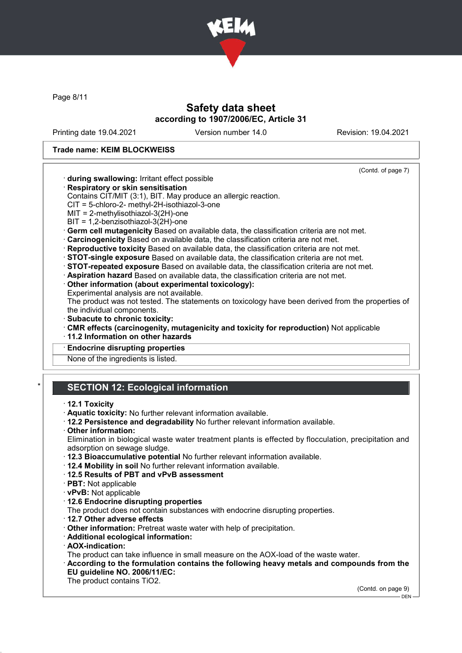

Page 8/11

### Safety data sheet according to 1907/2006/EC, Article 31

Printing date 19.04.2021 Version number 14.0 Revision: 19.04.2021

(Contd. of page 7)

#### Trade name: KEIM BLOCKWEISS

· during swallowing: Irritant effect possible

- · Respiratory or skin sensitisation
	- Contains CIT/MIT (3:1), BIT. May produce an allergic reaction.
	- CIT = 5-chloro-2- methyl-2H-isothiazol-3-one
- MIT = 2-methylisothiazol-3(2H)-one
- BIT = 1,2-benzisothiazol-3(2H)-one
- · Germ cell mutagenicity Based on available data, the classification criteria are not met.
- · Carcinogenicity Based on available data, the classification criteria are not met.
- · Reproductive toxicity Based on available data, the classification criteria are not met.
- · STOT-single exposure Based on available data, the classification criteria are not met.
- · STOT-repeated exposure Based on available data, the classification criteria are not met.
- · Aspiration hazard Based on available data, the classification criteria are not met.
- · Other information (about experimental toxicology):
- Experimental analysis are not available.

The product was not tested. The statements on toxicology have been derived from the properties of the individual components.

- · Subacute to chronic toxicity:
- · CMR effects (carcinogenity, mutagenicity and toxicity for reproduction) Not applicable
- · 11.2 Information on other hazards
- **Endocrine disrupting properties**

None of the ingredients is listed.

### **SECTION 12: Ecological information**

#### · 12.1 Toxicity

- · Aquatic toxicity: No further relevant information available.
- · 12.2 Persistence and degradability No further relevant information available.
- · Other information:

Elimination in biological waste water treatment plants is effected by flocculation, precipitation and adsorption on sewage sludge.

- · 12.3 Bioaccumulative potential No further relevant information available.
- · 12.4 Mobility in soil No further relevant information available.
- · 12.5 Results of PBT and vPvB assessment
- · PBT: Not applicable
- · vPvB: Not applicable
- · 12.6 Endocrine disrupting properties

The product does not contain substances with endocrine disrupting properties.

- · 12.7 Other adverse effects
- · Other information: Pretreat waste water with help of precipitation.
- · Additional ecological information:
- · AOX-indication:

The product can take influence in small measure on the AOX-load of the waste water.

· According to the formulation contains the following heavy metals and compounds from the EU guideline NO. 2006/11/EC:

The product contains TiO2.

(Contd. on page 9) - DEN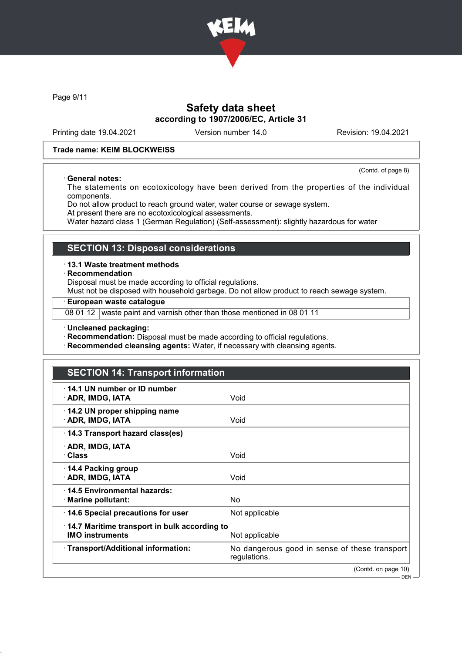

Page 9/11

### Safety data sheet according to 1907/2006/EC, Article 31

Printing date 19.04.2021 Version number 14.0 Revision: 19.04.2021

#### Trade name: KEIM BLOCKWEISS

#### · General notes:

(Contd. of page 8)

The statements on ecotoxicology have been derived from the properties of the individual components.

Do not allow product to reach ground water, water course or sewage system.

At present there are no ecotoxicological assessments.

Water hazard class 1 (German Regulation) (Self-assessment): slightly hazardous for water

#### SECTION 13: Disposal considerations

· 13.1 Waste treatment methods

· Recommendation

Disposal must be made according to official regulations.

Must not be disposed with household garbage. Do not allow product to reach sewage system.

#### · European waste catalogue

08 01 12 waste paint and varnish other than those mentioned in 08 01 11

· Uncleaned packaging:

· Recommendation: Disposal must be made according to official regulations.

· Recommended cleansing agents: Water, if necessary with cleansing agents.

### SECTION 14: Transport information

| ⋅ 14.1 UN number or ID number<br>· ADR, IMDG, IATA                     | Void                                                          |
|------------------------------------------------------------------------|---------------------------------------------------------------|
| 14.2 UN proper shipping name<br>· ADR, IMDG, IATA                      | Void                                                          |
| 14.3 Transport hazard class(es)                                        |                                                               |
| · ADR, IMDG, IATA<br>· Class                                           | Void                                                          |
| 14.4 Packing group<br>· ADR, IMDG, IATA                                | Void                                                          |
| 14.5 Environmental hazards:<br>· Marine pollutant:                     | No.                                                           |
| 14.6 Special precautions for user                                      | Not applicable                                                |
| 14.7 Maritime transport in bulk according to<br><b>IMO instruments</b> | Not applicable                                                |
| · Transport/Additional information:                                    | No dangerous good in sense of these transport<br>regulations. |
|                                                                        | (Contd. on page 10)                                           |
|                                                                        | $DEN -$                                                       |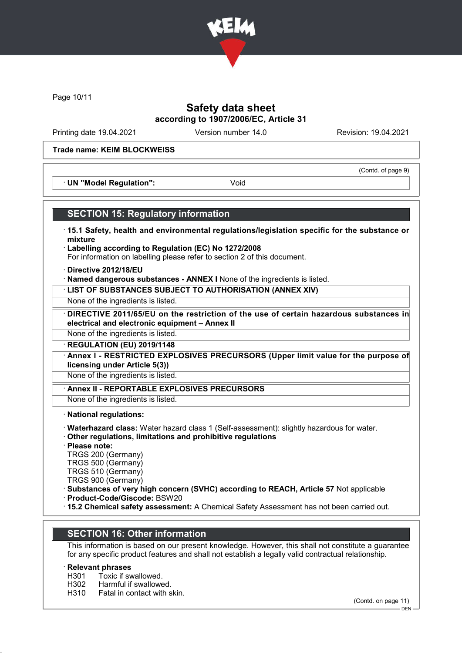

Page 10/11

### Safety data sheet according to 1907/2006/EC, Article 31

Printing date 19.04.2021 Version number 14.0 Revision: 19.04.2021

(Contd. of page 9)

#### Trade name: KEIM BLOCKWEISS

· UN "Model Regulation": Void

#### SECTION 15: Regulatory information

- · 15.1 Safety, health and environmental regulations/legislation specific for the substance or mixture
- · Labelling according to Regulation (EC) No 1272/2008 For information on labelling please refer to section 2 of this document.
- · Directive 2012/18/EU
- · Named dangerous substances ANNEX I None of the ingredients is listed.
- · LIST OF SUBSTANCES SUBJECT TO AUTHORISATION (ANNEX XIV)
- None of the ingredients is listed.
- DIRECTIVE 2011/65/EU on the restriction of the use of certain hazardous substances in electrical and electronic equipment – Annex II

None of the ingredients is listed.

· REGULATION (EU) 2019/1148

Annex I - RESTRICTED EXPLOSIVES PRECURSORS (Upper limit value for the purpose of licensing under Article 5(3))

None of the ingredients is listed.

Annex II - REPORTABLE EXPLOSIVES PRECURSORS

None of the ingredients is listed.

· National regulations:

- · Waterhazard class: Water hazard class 1 (Self-assessment): slightly hazardous for water.
- · Other regulations, limitations and prohibitive regulations

· Please note:

TRGS 200 (Germany)

TRGS 500 (Germany)

TRGS 510 (Germany)

TRGS 900 (Germany)

· Substances of very high concern (SVHC) according to REACH, Article 57 Not applicable

· Product-Code/Giscode: BSW20

· 15.2 Chemical safety assessment: A Chemical Safety Assessment has not been carried out.

#### SECTION 16: Other information

This information is based on our present knowledge. However, this shall not constitute a guarantee for any specific product features and shall not establish a legally valid contractual relationship.

# **Relevant phrases**<br>H301 Toxic if sv

- H301 Toxic if swallowed.<br>H302 Harmful if swallowe
- Harmful if swallowed.
- H310 Fatal in contact with skin.

(Contd. on page 11)

 $-$  DEN -